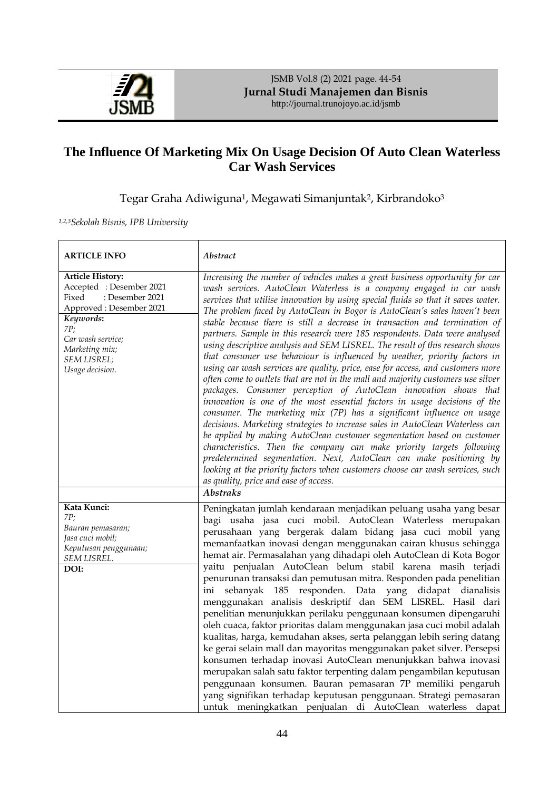

JSMB Vol.8 (2) 2021 page. 44-54 **Jurnal Studi Manajemen dan Bisnis** http://journal.trunojoyo.ac.id/jsmb

# **The Influence Of Marketing Mix On Usage Decision Of Auto Clean Waterless Car Wash Services**

Tegar Graha Adiwiguna<sup>1</sup>, Megawati Simanjuntak<sup>2</sup>, Kirbrandoko<sup>3</sup>

*1,2,3Sekolah Bisnis, IPB University*

| <b>ARTICLE INFO</b>                                                                                                                                                                                    | Abstract                                                                                                                                                                                                                                                                                                                                                                                                                                                                                                                                                                                                                                                                                                                                                                                                                                                                                                                                                                                                                                                                                                                                                                                                                                                                                                                                                                                                                                                                                              |
|--------------------------------------------------------------------------------------------------------------------------------------------------------------------------------------------------------|-------------------------------------------------------------------------------------------------------------------------------------------------------------------------------------------------------------------------------------------------------------------------------------------------------------------------------------------------------------------------------------------------------------------------------------------------------------------------------------------------------------------------------------------------------------------------------------------------------------------------------------------------------------------------------------------------------------------------------------------------------------------------------------------------------------------------------------------------------------------------------------------------------------------------------------------------------------------------------------------------------------------------------------------------------------------------------------------------------------------------------------------------------------------------------------------------------------------------------------------------------------------------------------------------------------------------------------------------------------------------------------------------------------------------------------------------------------------------------------------------------|
| <b>Article History:</b><br>Accepted: Desember 2021<br>: Desember 2021<br>Fixed<br>Approved: Desember 2021<br>Keywords:<br>7P;<br>Car wash service;<br>Marketing mix;<br>SEM LISREL;<br>Usage decision. | Increasing the number of vehicles makes a great business opportunity for car<br>wash services. AutoClean Waterless is a company engaged in car wash<br>services that utilise innovation by using special fluids so that it saves water.<br>The problem faced by AutoClean in Bogor is AutoClean's sales haven't been<br>stable because there is still a decrease in transaction and termination of<br>partners. Sample in this research were 185 respondents. Data were analysed<br>using descriptive analysis and SEM LISREL. The result of this research shows<br>that consumer use behaviour is influenced by weather, priority factors in<br>using car wash services are quality, price, ease for access, and customers more<br>often come to outlets that are not in the mall and majority customers use silver<br>packages. Consumer perception of AutoClean innovation shows that<br>innovation is one of the most essential factors in usage decisions of the<br>consumer. The marketing mix (7P) has a significant influence on usage<br>decisions. Marketing strategies to increase sales in AutoClean Waterless can<br>be applied by making AutoClean customer segmentation based on customer<br>characteristics. Then the company can make priority targets following<br>predetermined segmentation. Next, AutoClean can make positioning by<br>looking at the priority factors when customers choose car wash services, such<br>as quality, price and ease of access.<br><b>Abstraks</b> |
| Kata Kunci:<br>7P;<br>Bauran pemasaran;<br>Jasa cuci mobil;<br>Keputusan penggunaan;<br>SEM LISREL.<br>DOI:                                                                                            | Peningkatan jumlah kendaraan menjadikan peluang usaha yang besar<br>bagi usaha jasa cuci mobil. AutoClean Waterless merupakan<br>perusahaan yang bergerak dalam bidang jasa cuci mobil yang<br>memanfaatkan inovasi dengan menggunakan cairan khusus sehingga<br>hemat air. Permasalahan yang dihadapi oleh AutoClean di Kota Bogor<br>yaitu penjualan AutoClean belum stabil karena masih terjadi<br>penurunan transaksi dan pemutusan mitra. Responden pada penelitian<br>sebanyak 185 responden. Data yang didapat dianalisis<br>ini<br>menggunakan analisis deskriptif dan SEM LISREL. Hasil dari<br>penelitian menunjukkan perilaku penggunaan konsumen dipengaruhi<br>oleh cuaca, faktor prioritas dalam menggunakan jasa cuci mobil adalah<br>kualitas, harga, kemudahan akses, serta pelanggan lebih sering datang<br>ke gerai selain mall dan mayoritas menggunakan paket silver. Persepsi<br>konsumen terhadap inovasi AutoClean menunjukkan bahwa inovasi<br>merupakan salah satu faktor terpenting dalam pengambilan keputusan<br>penggunaan konsumen. Bauran pemasaran 7P memiliki pengaruh<br>yang signifikan terhadap keputusan penggunaan. Strategi pemasaran<br>untuk meningkatkan penjualan di AutoClean waterless dapat                                                                                                                                                                                                                                                            |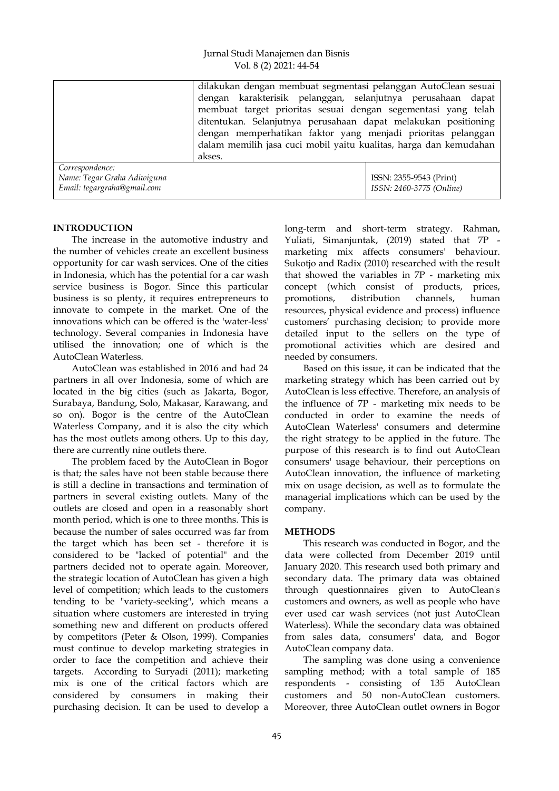|                                                                               | dilakukan dengan membuat segmentasi pelanggan AutoClean sesuai<br>dengan karakterisik pelanggan, selanjutnya perusahaan dapat<br>membuat target prioritas sesuai dengan segementasi yang telah<br>ditentukan. Selanjutnya perusahaan dapat melakukan positioning<br>dengan memperhatikan faktor yang menjadi prioritas pelanggan<br>dalam memilih jasa cuci mobil yaitu kualitas, harga dan kemudahan<br>akses. |                                                     |
|-------------------------------------------------------------------------------|-----------------------------------------------------------------------------------------------------------------------------------------------------------------------------------------------------------------------------------------------------------------------------------------------------------------------------------------------------------------------------------------------------------------|-----------------------------------------------------|
| Correspondence:<br>Name: Tegar Graha Adiwiguna<br>Email: tegargraha@gmail.com |                                                                                                                                                                                                                                                                                                                                                                                                                 | ISSN: 2355-9543 (Print)<br>ISSN: 2460-3775 (Online) |

# **INTRODUCTION**

The increase in the automotive industry and the number of vehicles create an excellent business opportunity for car wash services. One of the cities in Indonesia, which has the potential for a car wash service business is Bogor. Since this particular business is so plenty, it requires entrepreneurs to innovate to compete in the market. One of the innovations which can be offered is the 'water-less' technology. Several companies in Indonesia have utilised the innovation; one of which is the AutoClean Waterless.

AutoClean was established in 2016 and had 24 partners in all over Indonesia, some of which are located in the big cities (such as Jakarta, Bogor, Surabaya, Bandung, Solo, Makasar, Karawang, and so on). Bogor is the centre of the AutoClean Waterless Company, and it is also the city which has the most outlets among others. Up to this day, there are currently nine outlets there.

The problem faced by the AutoClean in Bogor is that; the sales have not been stable because there is still a decline in transactions and termination of partners in several existing outlets. Many of the outlets are closed and open in a reasonably short month period, which is one to three months. This is because the number of sales occurred was far from the target which has been set - therefore it is considered to be "lacked of potential" and the partners decided not to operate again. Moreover, the strategic location of AutoClean has given a high level of competition; which leads to the customers tending to be "variety-seeking", which means a situation where customers are interested in trying something new and different on products offered by competitors (Peter & Olson, 1999). Companies must continue to develop marketing strategies in order to face the competition and achieve their targets. According to Suryadi (2011); marketing mix is one of the critical factors which are considered by consumers in making their purchasing decision. It can be used to develop a

long-term and short-term strategy. Rahman, Yuliati, Simanjuntak, (2019) stated that 7P marketing mix affects consumers' behaviour. Sukotjo and Radix (2010) researched with the result that showed the variables in 7P - marketing mix concept (which consist of products, prices, promotions, distribution channels, human resources, physical evidence and process) influence customers" purchasing decision; to provide more detailed input to the sellers on the type of promotional activities which are desired and needed by consumers.

Based on this issue, it can be indicated that the marketing strategy which has been carried out by AutoClean is less effective. Therefore, an analysis of the influence of 7P - marketing mix needs to be conducted in order to examine the needs of AutoClean Waterless' consumers and determine the right strategy to be applied in the future. The purpose of this research is to find out AutoClean consumers' usage behaviour, their perceptions on AutoClean innovation, the influence of marketing mix on usage decision, as well as to formulate the managerial implications which can be used by the company.

# **METHODS**

This research was conducted in Bogor, and the data were collected from December 2019 until January 2020. This research used both primary and secondary data. The primary data was obtained through questionnaires given to AutoClean's customers and owners, as well as people who have ever used car wash services (not just AutoClean Waterless). While the secondary data was obtained from sales data, consumers' data, and Bogor AutoClean company data.

The sampling was done using a convenience sampling method; with a total sample of 185 respondents - consisting of 135 AutoClean customers and 50 non-AutoClean customers. Moreover, three AutoClean outlet owners in Bogor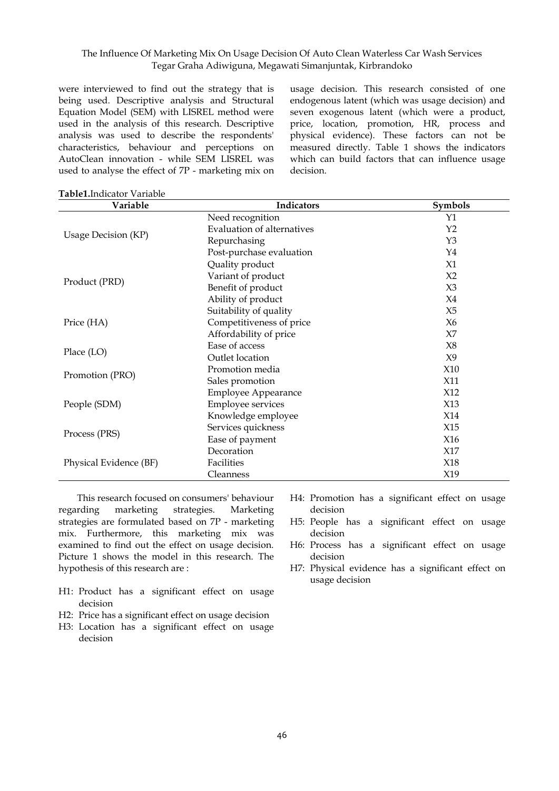were interviewed to find out the strategy that is being used. Descriptive analysis and Structural Equation Model (SEM) with LISREL method were used in the analysis of this research. Descriptive analysis was used to describe the respondents' characteristics, behaviour and perceptions on AutoClean innovation - while SEM LISREL was used to analyse the effect of 7P - marketing mix on usage decision. This research consisted of one endogenous latent (which was usage decision) and seven exogenous latent (which were a product, price, location, promotion, HR, process and physical evidence). These factors can not be measured directly. Table 1 shows the indicators which can build factors that can influence usage decision.

| Variable               | <b>Indicators</b>                 | Symbols        |
|------------------------|-----------------------------------|----------------|
|                        | Need recognition                  | Y1             |
|                        | <b>Evaluation of alternatives</b> | Y2             |
| Usage Decision (KP)    | Repurchasing                      | Y3             |
|                        | Post-purchase evaluation          | $Y_4$          |
|                        | Quality product                   | X1             |
|                        | Variant of product                | X <sub>2</sub> |
| Product (PRD)          | Benefit of product                | $X_3$          |
|                        | Ability of product                | X4             |
|                        | Suitability of quality            | X5             |
| Price (HA)             | Competitiveness of price          | X6             |
|                        | Affordability of price            | X7             |
|                        | Ease of access                    | X8             |
| Place (LO)             | Outlet location                   | X9             |
|                        | Promotion media                   | X10            |
| Promotion (PRO)        | Sales promotion                   | X11            |
|                        | <b>Employee Appearance</b>        | X12            |
| People (SDM)           | <b>Employee services</b>          | X13            |
|                        | Knowledge employee                | X14            |
|                        | Services quickness                | X15            |
| Process (PRS)          | Ease of payment                   | X16            |
|                        | Decoration                        | X17            |
| Physical Evidence (BF) | Facilities                        | X18            |
|                        | Cleanness                         | X19            |

**Table1.**Indicator Variable

This research focused on consumers' behaviour regarding marketing strategies. Marketing strategies are formulated based on 7P - marketing mix. Furthermore, this marketing mix was examined to find out the effect on usage decision. Picture 1 shows the model in this research. The hypothesis of this research are :

- H1: Product has a significant effect on usage decision
- H2: Price has a significant effect on usage decision
- H3: Location has a significant effect on usage decision
- H4: Promotion has a significant effect on usage decision
- H5: People has a significant effect on usage decision
- H6: Process has a significant effect on usage decision
- H7: Physical evidence has a significant effect on usage decision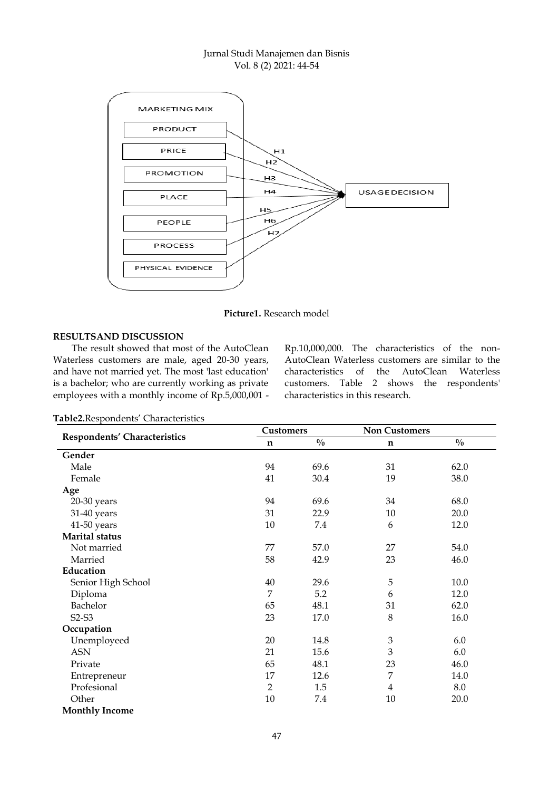# Jurnal Studi Manajemen dan Bisnis Vol. 8 (2) 2021: 44-54



**Picture1.** Research model

# **RESULTSAND DISCUSSION**

The result showed that most of the AutoClean Waterless customers are male, aged 20-30 years, and have not married yet. The most 'last education' is a bachelor; who are currently working as private employees with a monthly income of Rp.5,000,001 -

Rp.10,000,000. The characteristics of the non-AutoClean Waterless customers are similar to the characteristics of the AutoClean Waterless customers. Table 2 shows the respondents' characteristics in this research.

|                              | <b>Customers</b> |               | <b>Non Customers</b> |               |
|------------------------------|------------------|---------------|----------------------|---------------|
| Respondents' Characteristics | n                | $\frac{0}{0}$ | n                    | $\frac{0}{0}$ |
| Gender                       |                  |               |                      |               |
| Male                         | 94               | 69.6          | 31                   | 62.0          |
| Female                       | 41               | 30.4          | 19                   | 38.0          |
| Age                          |                  |               |                      |               |
| 20-30 years                  | 94               | 69.6          | 34                   | 68.0          |
| 31-40 years                  | 31               | 22.9          | 10                   | 20.0          |
| 41-50 years                  | 10               | 7.4           | 6                    | 12.0          |
| <b>Marital status</b>        |                  |               |                      |               |
| Not married                  | 77               | 57.0          | 27                   | 54.0          |
| Married                      | 58               | 42.9          | 23                   | 46.0          |
| Education                    |                  |               |                      |               |
| Senior High School           | 40               | 29.6          | 5                    | 10.0          |
| Diploma                      | 7                | 5.2           | 6                    | 12.0          |
| Bachelor                     | 65               | 48.1          | 31                   | 62.0          |
| $S2-S3$                      | 23               | 17.0          | 8                    | 16.0          |
| Occupation                   |                  |               |                      |               |
| Unemployeed                  | 20               | 14.8          | $\mathfrak{Z}$       | 6.0           |
| <b>ASN</b>                   | 21               | 15.6          | 3                    | 6.0           |
| Private                      | 65               | 48.1          | 23                   | 46.0          |
| Entrepreneur                 | 17               | 12.6          | 7                    | 14.0          |
| Profesional                  | 2                | 1.5           | 4                    | 8.0           |
| Other                        | $10\,$           | 7.4           | 10                   | 20.0          |
| <b>Monthly Income</b>        |                  |               |                      |               |

Table2.Respondents' Characteristics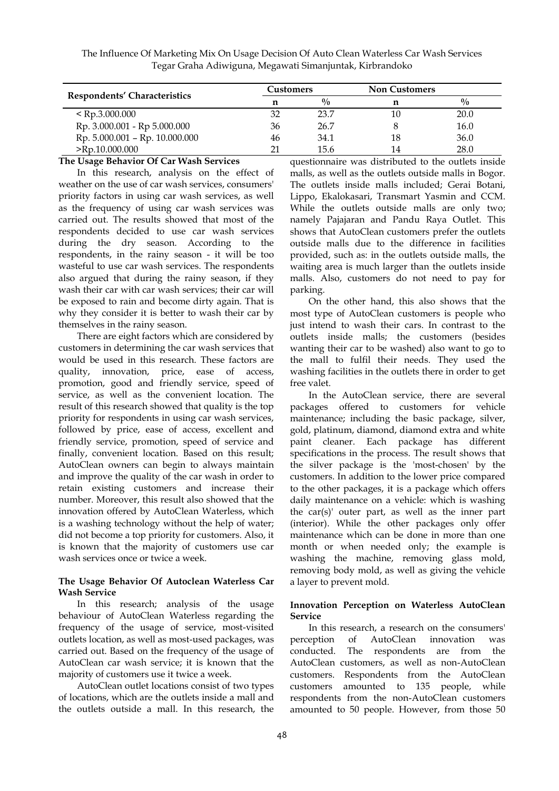|                                | Customers |             | <b>Non Customers</b> |             |
|--------------------------------|-----------|-------------|----------------------|-------------|
| Respondents' Characteristics   | n         | $^{0}/_{0}$ | n                    | $^{0}/_{0}$ |
| $\le$ Rp.3.000.000             | 32        | 23.7        | 10                   | 20.0        |
| Rp. 3.000.001 - Rp 5.000.000   | 36        | 26.7        |                      | 16.0        |
| Rp. 5.000.001 - Rp. 10.000.000 | 46        | 34.1        | 18                   | 36.0        |
| $>$ Rp.10.000.000              | 21        | 15.6        | 14                   | 28.0        |

#### **The Usage Behavior Of Car Wash Services**

In this research, analysis on the effect of weather on the use of car wash services, consumers' priority factors in using car wash services, as well as the frequency of using car wash services was carried out. The results showed that most of the respondents decided to use car wash services during the dry season. According to the respondents, in the rainy season - it will be too wasteful to use car wash services. The respondents also argued that during the rainy season, if they wash their car with car wash services; their car will be exposed to rain and become dirty again. That is why they consider it is better to wash their car by themselves in the rainy season.

There are eight factors which are considered by customers in determining the car wash services that would be used in this research. These factors are quality, innovation, price, ease of access, promotion, good and friendly service, speed of service, as well as the convenient location. The result of this research showed that quality is the top priority for respondents in using car wash services, followed by price, ease of access, excellent and friendly service, promotion, speed of service and finally, convenient location. Based on this result; AutoClean owners can begin to always maintain and improve the quality of the car wash in order to retain existing customers and increase their number. Moreover, this result also showed that the innovation offered by AutoClean Waterless, which is a washing technology without the help of water; did not become a top priority for customers. Also, it is known that the majority of customers use car wash services once or twice a week.

#### **The Usage Behavior Of Autoclean Waterless Car Wash Service**

In this research; analysis of the usage behaviour of AutoClean Waterless regarding the frequency of the usage of service, most-visited outlets location, as well as most-used packages, was carried out. Based on the frequency of the usage of AutoClean car wash service; it is known that the majority of customers use it twice a week.

AutoClean outlet locations consist of two types of locations, which are the outlets inside a mall and the outlets outside a mall. In this research, the

questionnaire was distributed to the outlets inside malls, as well as the outlets outside malls in Bogor. The outlets inside malls included; Gerai Botani, Lippo, Ekalokasari, Transmart Yasmin and CCM. While the outlets outside malls are only two; namely Pajajaran and Pandu Raya Outlet. This shows that AutoClean customers prefer the outlets outside malls due to the difference in facilities provided, such as: in the outlets outside malls, the waiting area is much larger than the outlets inside malls. Also, customers do not need to pay for parking.

On the other hand, this also shows that the most type of AutoClean customers is people who just intend to wash their cars. In contrast to the outlets inside malls; the customers (besides wanting their car to be washed) also want to go to the mall to fulfil their needs. They used the washing facilities in the outlets there in order to get free valet.

In the AutoClean service, there are several packages offered to customers for vehicle maintenance; including the basic package, silver, gold, platinum, diamond, diamond extra and white paint cleaner. Each package has different specifications in the process. The result shows that the silver package is the 'most-chosen' by the customers. In addition to the lower price compared to the other packages, it is a package which offers daily maintenance on a vehicle: which is washing the car(s)' outer part, as well as the inner part (interior). While the other packages only offer maintenance which can be done in more than one month or when needed only; the example is washing the machine, removing glass mold, removing body mold, as well as giving the vehicle a layer to prevent mold.

#### **Innovation Perception on Waterless AutoClean Service**

In this research, a research on the consumers' perception of AutoClean innovation was conducted. The respondents are from the AutoClean customers, as well as non-AutoClean customers. Respondents from the AutoClean customers amounted to 135 people, while respondents from the non-AutoClean customers amounted to 50 people. However, from those 50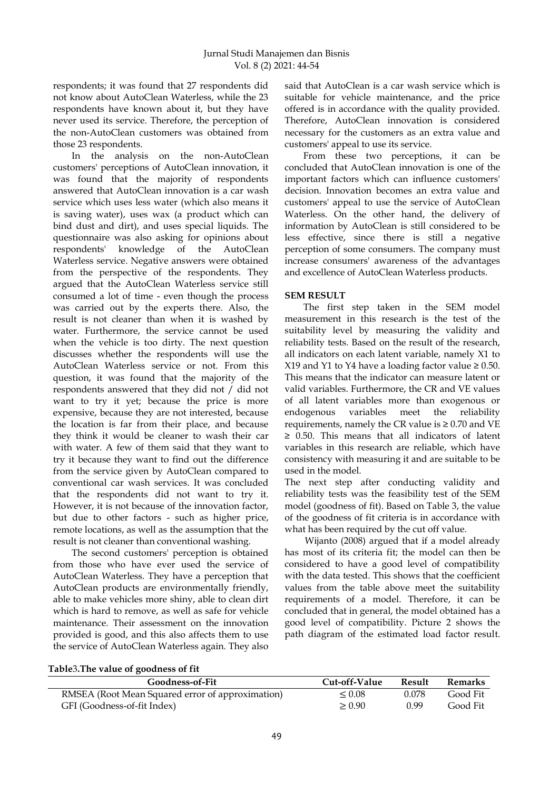respondents; it was found that 27 respondents did not know about AutoClean Waterless, while the 23 respondents have known about it, but they have never used its service. Therefore, the perception of the non-AutoClean customers was obtained from those 23 respondents.

In the analysis on the non-AutoClean customers' perceptions of AutoClean innovation, it was found that the majority of respondents answered that AutoClean innovation is a car wash service which uses less water (which also means it is saving water), uses wax (a product which can bind dust and dirt), and uses special liquids. The questionnaire was also asking for opinions about respondents' knowledge of the AutoClean Waterless service. Negative answers were obtained from the perspective of the respondents. They argued that the AutoClean Waterless service still consumed a lot of time - even though the process was carried out by the experts there. Also, the result is not cleaner than when it is washed by water. Furthermore, the service cannot be used when the vehicle is too dirty. The next question discusses whether the respondents will use the AutoClean Waterless service or not. From this question, it was found that the majority of the respondents answered that they did not / did not want to try it yet; because the price is more expensive, because they are not interested, because the location is far from their place, and because they think it would be cleaner to wash their car with water. A few of them said that they want to try it because they want to find out the difference from the service given by AutoClean compared to conventional car wash services. It was concluded that the respondents did not want to try it. However, it is not because of the innovation factor, but due to other factors - such as higher price, remote locations, as well as the assumption that the result is not cleaner than conventional washing.

The second customers' perception is obtained from those who have ever used the service of AutoClean Waterless. They have a perception that AutoClean products are environmentally friendly, able to make vehicles more shiny, able to clean dirt which is hard to remove, as well as safe for vehicle maintenance. Their assessment on the innovation provided is good, and this also affects them to use the service of AutoClean Waterless again. They also

said that AutoClean is a car wash service which is suitable for vehicle maintenance, and the price offered is in accordance with the quality provided. Therefore, AutoClean innovation is considered necessary for the customers as an extra value and customers' appeal to use its service.

From these two perceptions, it can be concluded that AutoClean innovation is one of the important factors which can influence customers' decision. Innovation becomes an extra value and customers' appeal to use the service of AutoClean Waterless. On the other hand, the delivery of information by AutoClean is still considered to be less effective, since there is still a negative perception of some consumers. The company must increase consumers' awareness of the advantages and excellence of AutoClean Waterless products.

# **SEM RESULT**

The first step taken in the SEM model measurement in this research is the test of the suitability level by measuring the validity and reliability tests. Based on the result of the research, all indicators on each latent variable, namely X1 to X19 and Y1 to Y4 have a loading factor value  $\geq 0.50$ . This means that the indicator can measure latent or valid variables. Furthermore, the CR and VE values of all latent variables more than exogenous or endogenous variables meet the reliability requirements, namely the CR value is  $\geq 0.70$  and VE ≥ 0.50. This means that all indicators of latent variables in this research are reliable, which have consistency with measuring it and are suitable to be used in the model.

The next step after conducting validity and reliability tests was the feasibility test of the SEM model (goodness of fit). Based on Table 3, the value of the goodness of fit criteria is in accordance with what has been required by the cut off value.

Wijanto (2008) argued that if a model already has most of its criteria fit; the model can then be considered to have a good level of compatibility with the data tested. This shows that the coefficient values from the table above meet the suitability requirements of a model. Therefore, it can be concluded that in general, the model obtained has a good level of compatibility. Picture 2 shows the path diagram of the estimated load factor result.

| Table3. The value of goodness of fit |  |  |  |
|--------------------------------------|--|--|--|
|                                      |  |  |  |

| Goodness-of-Fit                                  | Cut-off-Value | Result | Remarks  |
|--------------------------------------------------|---------------|--------|----------|
| RMSEA (Root Mean Squared error of approximation) | $\leq 0.08$   | 0.078  | Good Fit |
| GFI (Goodness-of-fit Index)                      | > 0.90        | 0.99   | Good Fit |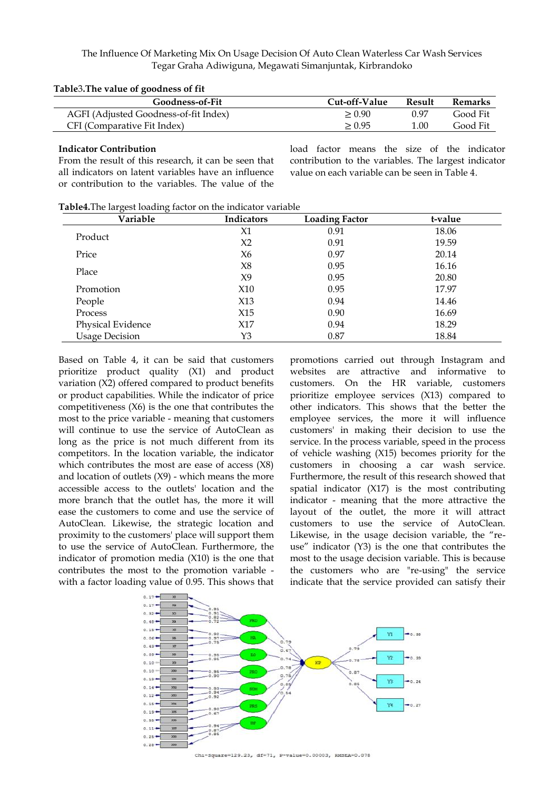#### **Table**3**.The value of goodness of fit**

| Goodness-of-Fit                       | Cut-off-Value | Result | <b>Remarks</b> |
|---------------------------------------|---------------|--------|----------------|
| AGFI (Adjusted Goodness-of-fit Index) | > 0.90        | በ 97   | Good Fit       |
| CFI (Comparative Fit Index)           | > 0.95        | 1.00   | Good Fit       |

#### **Indicator Contribution**

From the result of this research, it can be seen that all indicators on latent variables have an influence or contribution to the variables. The value of the load factor means the size of the indicator contribution to the variables. The largest indicator value on each variable can be seen in Table 4.

**Table4.**The largest loading factor on the indicator variable

| Variable              | <b>Indicators</b> | <b>Loading Factor</b> | t-value |
|-----------------------|-------------------|-----------------------|---------|
|                       | X1                | 0.91                  | 18.06   |
| Product               | X <sub>2</sub>    | 0.91                  | 19.59   |
| Price                 | X6                | 0.97                  | 20.14   |
|                       | X8                | 0.95                  | 16.16   |
| Place                 | X9                | 0.95                  | 20.80   |
| Promotion             | X10               | 0.95                  | 17.97   |
| People                | X13               | 0.94                  | 14.46   |
| Process               | X15               | 0.90                  | 16.69   |
| Physical Evidence     | X17               | 0.94                  | 18.29   |
| <b>Usage Decision</b> | Y3                | 0.87                  | 18.84   |

Based on Table 4, it can be said that customers prioritize product quality (X1) and product variation (X2) offered compared to product benefits or product capabilities. While the indicator of price competitiveness (X6) is the one that contributes the most to the price variable - meaning that customers will continue to use the service of AutoClean as long as the price is not much different from its competitors. In the location variable, the indicator which contributes the most are ease of access (X8) and location of outlets  $(X9)$  - which means the more accessible access to the outlets' location and the more branch that the outlet has, the more it will ease the customers to come and use the service of AutoClean. Likewise, the strategic location and proximity to the customers' place will support them to use the service of AutoClean. Furthermore, the indicator of promotion media (X10) is the one that contributes the most to the promotion variable with a factor loading value of 0.95. This shows that

promotions carried out through Instagram and websites are attractive and informative to customers. On the HR variable, customers prioritize employee services (X13) compared to other indicators. This shows that the better the employee services, the more it will influence customers' in making their decision to use the service. In the process variable, speed in the process of vehicle washing (X15) becomes priority for the customers in choosing a car wash service. Furthermore, the result of this research showed that spatial indicator (X17) is the most contributing indicator - meaning that the more attractive the layout of the outlet, the more it will attract customers to use the service of AutoClean. Likewise, in the usage decision variable, the "reuse" indicator (Y3) is the one that contributes the most to the usage decision variable. This is because the customers who are "re-using" the service indicate that the service provided can satisfy their



Chi-Square=129.23, df=71, P-value=0.00003, RMSEA=0.078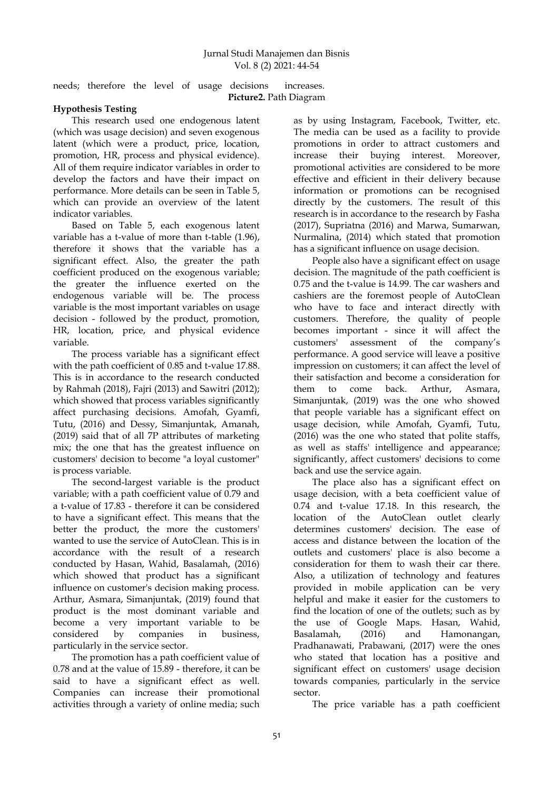needs; therefore the level of usage decisions increases. **Picture2.** Path Diagram

# **Hypothesis Testing**

This research used one endogenous latent (which was usage decision) and seven exogenous latent (which were a product, price, location, promotion, HR, process and physical evidence). All of them require indicator variables in order to develop the factors and have their impact on performance. More details can be seen in Table 5, which can provide an overview of the latent indicator variables.

Based on Table 5, each exogenous latent variable has a t-value of more than t-table (1.96), therefore it shows that the variable has a significant effect. Also, the greater the path coefficient produced on the exogenous variable; the greater the influence exerted on the endogenous variable will be. The process variable is the most important variables on usage decision - followed by the product, promotion, HR, location, price, and physical evidence variable.

The process variable has a significant effect with the path coefficient of 0.85 and t-value 17.88. This is in accordance to the research conducted by Rahmah (2018), Fajri (2013) and Sawitri (2012); which showed that process variables significantly affect purchasing decisions. Amofah, Gyamfi, Tutu, (2016) and Dessy, Simanjuntak, Amanah, (2019) said that of all 7P attributes of marketing mix; the one that has the greatest influence on customers' decision to become "a loyal customer" is process variable.

The second-largest variable is the product variable; with a path coefficient value of 0.79 and a t-value of 17.83 - therefore it can be considered to have a significant effect. This means that the better the product, the more the customers' wanted to use the service of AutoClean. This is in accordance with the result of a research conducted by Hasan, Wahid, Basalamah, (2016) which showed that product has a significant influence on customer's decision making process. Arthur, Asmara, Simanjuntak, (2019) found that product is the most dominant variable and become a very important variable to be considered by companies in business, particularly in the service sector.

The promotion has a path coefficient value of 0.78 and at the value of 15.89 - therefore, it can be said to have a significant effect as well. Companies can increase their promotional activities through a variety of online media; such

as by using Instagram, Facebook, Twitter, etc. The media can be used as a facility to provide promotions in order to attract customers and increase their buying interest. Moreover, promotional activities are considered to be more effective and efficient in their delivery because information or promotions can be recognised directly by the customers. The result of this research is in accordance to the research by Fasha (2017), Supriatna (2016) and Marwa, Sumarwan, Nurmalina, (2014) which stated that promotion has a significant influence on usage decision.

People also have a significant effect on usage decision. The magnitude of the path coefficient is 0.75 and the t-value is 14.99. The car washers and cashiers are the foremost people of AutoClean who have to face and interact directly with customers. Therefore, the quality of people becomes important - since it will affect the customers' assessment of the company"s performance. A good service will leave a positive impression on customers; it can affect the level of their satisfaction and become a consideration for them to come back. Arthur, Asmara, Simanjuntak, (2019) was the one who showed that people variable has a significant effect on usage decision, while Amofah, Gyamfi, Tutu, (2016) was the one who stated that polite staffs, as well as staffs' intelligence and appearance; significantly, affect customers' decisions to come back and use the service again.

The place also has a significant effect on usage decision, with a beta coefficient value of 0.74 and t-value 17.18. In this research, the location of the AutoClean outlet clearly determines customers' decision. The ease of access and distance between the location of the outlets and customers' place is also become a consideration for them to wash their car there. Also, a utilization of technology and features provided in mobile application can be very helpful and make it easier for the customers to find the location of one of the outlets; such as by the use of Google Maps. Hasan, Wahid, Basalamah, (2016) and Hamonangan, Pradhanawati, Prabawani, (2017) were the ones who stated that location has a positive and significant effect on customers' usage decision towards companies, particularly in the service sector.

The price variable has a path coefficient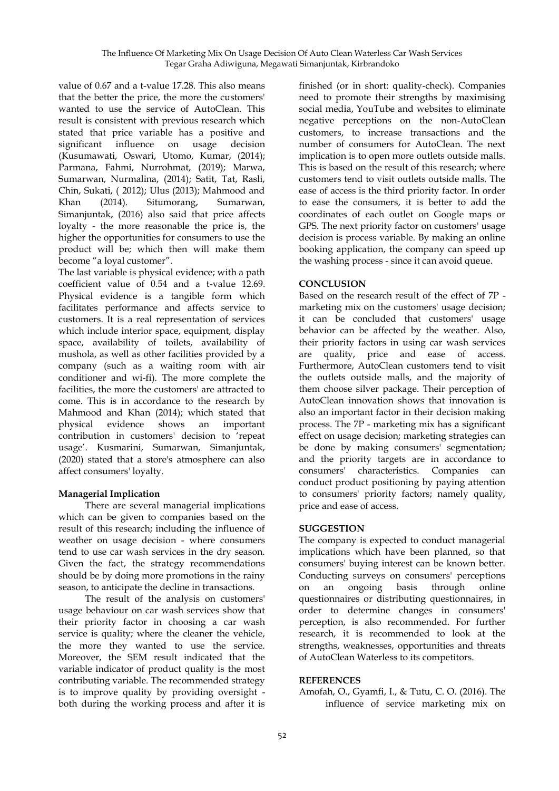value of 0.67 and a t-value 17.28. This also means that the better the price, the more the customers' wanted to use the service of AutoClean. This result is consistent with previous research which stated that price variable has a positive and significant influence on usage decision (Kusumawati, Oswari, Utomo, Kumar, (2014); Parmana, Fahmi, Nurrohmat, (2019); Marwa, Sumarwan, Nurmalina, (2014); Satit, Tat, Rasli, Chin, Sukati, ( 2012); Ulus (2013); Mahmood and Khan (2014). Situmorang, Sumarwan, Simanjuntak, (2016) also said that price affects loyalty - the more reasonable the price is, the higher the opportunities for consumers to use the product will be; which then will make them become "a loyal customer".

The last variable is physical evidence; with a path coefficient value of 0.54 and a t-value 12.69. Physical evidence is a tangible form which facilitates performance and affects service to customers. It is a real representation of services which include interior space, equipment, display space, availability of toilets, availability of mushola, as well as other facilities provided by a company (such as a waiting room with air conditioner and wi-fi). The more complete the facilities, the more the customers' are attracted to come. This is in accordance to the research by Mahmood and Khan (2014); which stated that physical evidence shows an important contribution in customers' decision to "repeat usage". Kusmarini, Sumarwan, Simanjuntak, (2020) stated that a store's atmosphere can also affect consumers' loyalty.

# **Managerial Implication**

There are several managerial implications which can be given to companies based on the result of this research; including the influence of weather on usage decision - where consumers tend to use car wash services in the dry season. Given the fact, the strategy recommendations should be by doing more promotions in the rainy season, to anticipate the decline in transactions.

The result of the analysis on customers' usage behaviour on car wash services show that their priority factor in choosing a car wash service is quality; where the cleaner the vehicle, the more they wanted to use the service. Moreover, the SEM result indicated that the variable indicator of product quality is the most contributing variable. The recommended strategy is to improve quality by providing oversight both during the working process and after it is

finished (or in short: quality-check). Companies need to promote their strengths by maximising social media, YouTube and websites to eliminate negative perceptions on the non-AutoClean customers, to increase transactions and the number of consumers for AutoClean. The next implication is to open more outlets outside malls. This is based on the result of this research; where customers tend to visit outlets outside malls. The ease of access is the third priority factor. In order to ease the consumers, it is better to add the coordinates of each outlet on Google maps or GPS. The next priority factor on customers' usage decision is process variable. By making an online booking application, the company can speed up the washing process - since it can avoid queue.

# **CONCLUSION**

Based on the research result of the effect of 7P marketing mix on the customers' usage decision; it can be concluded that customers' usage behavior can be affected by the weather. Also, their priority factors in using car wash services are quality, price and ease of access. Furthermore, AutoClean customers tend to visit the outlets outside malls, and the majority of them choose silver package. Their perception of AutoClean innovation shows that innovation is also an important factor in their decision making process. The 7P - marketing mix has a significant effect on usage decision; marketing strategies can be done by making consumers' segmentation; and the priority targets are in accordance to consumers' characteristics. Companies can conduct product positioning by paying attention to consumers' priority factors; namely quality, price and ease of access.

# **SUGGESTION**

The company is expected to conduct managerial implications which have been planned, so that consumers' buying interest can be known better. Conducting surveys on consumers' perceptions on an ongoing basis through online questionnaires or distributing questionnaires, in order to determine changes in consumers' perception, is also recommended. For further research, it is recommended to look at the strengths, weaknesses, opportunities and threats of AutoClean Waterless to its competitors.

# **REFERENCES**

Amofah, O., Gyamfi, I., & Tutu, C. O. (2016). The influence of service marketing mix on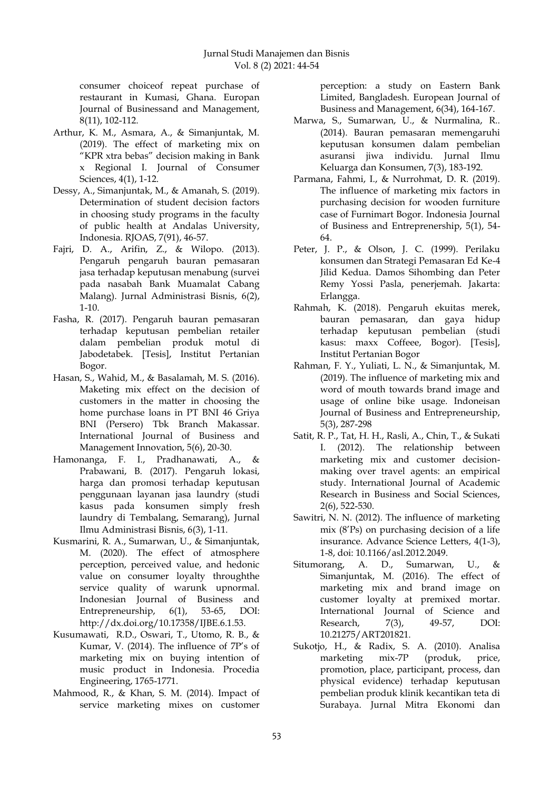consumer choiceof repeat purchase of restaurant in Kumasi, Ghana. Europan Journal of Businessand and Management, 8(11), 102-112.

- Arthur, K. M., Asmara, A., & Simanjuntak, M. (2019). The effect of marketing mix on "KPR xtra bebas" decision making in Bank x Regional I. Journal of Consumer Sciences, 4(1), 1-12.
- Dessy, A., Simanjuntak, M., & Amanah, S. (2019). Determination of student decision factors in choosing study programs in the faculty of public health at Andalas University, Indonesia. RJOAS, 7(91), 46-57.
- Fajri, D. A., Arifin, Z., & Wilopo. (2013). Pengaruh pengaruh bauran pemasaran jasa terhadap keputusan menabung (survei pada nasabah Bank Muamalat Cabang Malang). Jurnal Administrasi Bisnis, 6(2), 1-10.
- Fasha, R. (2017). Pengaruh bauran pemasaran terhadap keputusan pembelian retailer dalam pembelian produk motul di Jabodetabek. [Tesis], Institut Pertanian Bogor.
- Hasan, S., Wahid, M., & Basalamah, M. S. (2016). Maketing mix effect on the decision of customers in the matter in choosing the home purchase loans in PT BNI 46 Griya BNI (Persero) Tbk Branch Makassar. International Journal of Business and Management Innovation, 5(6), 20-30.
- Hamonanga, F. I., Pradhanawati, A., & Prabawani, B. (2017). Pengaruh lokasi, harga dan promosi terhadap keputusan penggunaan layanan jasa laundry (studi kasus pada konsumen simply fresh laundry di Tembalang, Semarang), Jurnal Ilmu Administrasi Bisnis, 6(3), 1-11.
- Kusmarini, R. A., Sumarwan, U., & Simanjuntak, M. (2020). The effect of atmosphere perception, perceived value, and hedonic value on consumer loyalty throughthe service quality of warunk upnormal. Indonesian Journal of Business and Entrepreneurship, 6(1), 53-65, DOI: http://dx.doi.org/10.17358/IJBE.6.1.53.
- Kusumawati, R.D., Oswari, T., Utomo, R. B., & Kumar, V. (2014). The influence of 7P's of marketing mix on buying intention of music product in Indonesia. Procedia Engineering, 1765-1771.
- Mahmood, R., & Khan, S. M. (2014). Impact of service marketing mixes on customer

perception: a study on Eastern Bank Limited, Bangladesh. European Journal of Business and Management, 6(34), 164-167.

- Marwa, S., Sumarwan, U., & Nurmalina, R.. (2014). Bauran pemasaran memengaruhi keputusan konsumen dalam pembelian asuransi jiwa individu. Jurnal Ilmu Keluarga dan Konsumen, 7(3), 183-192.
- Parmana, Fahmi, I., & Nurrohmat, D. R. (2019). The influence of marketing mix factors in purchasing decision for wooden furniture case of Furnimart Bogor. Indonesia Journal of Business and Entreprenership, 5(1), 54- 64.
- Peter, J. P., & Olson, J. C. (1999). Perilaku konsumen dan Strategi Pemasaran Ed Ke-4 Jilid Kedua. Damos Sihombing dan Peter Remy Yossi Pasla, penerjemah. Jakarta: Erlangga.
- Rahmah, K. (2018). Pengaruh ekuitas merek, bauran pemasaran, dan gaya hidup terhadap keputusan pembelian (studi kasus: maxx Coffeee, Bogor). [Tesis], Institut Pertanian Bogor
- Rahman, F. Y., Yuliati, L. N., & Simanjuntak, M. (2019). The influence of marketing mix and word of mouth towards brand image and usage of online bike usage. Indoneisan Journal of Business and Entrepreneurship, 5(3), 287-298
- Satit, R. P., Tat, H. H., Rasli, A., Chin, T., & Sukati I. (2012). The relationship between marketing mix and customer decisionmaking over travel agents: an empirical study. International Journal of Academic Research in Business and Social Sciences, 2(6), 522-530.
- Sawitri, N. N. (2012). The influence of marketing mix (8"Ps) on purchasing decision of a life insurance. Advance Science Letters, 4(1-3), 1-8, doi: 10.1166/asl.2012.2049.
- Situmorang, A. D., Sumarwan, U., & Simanjuntak, M. (2016). The effect of marketing mix and brand image on customer loyalty at premixed mortar. International Journal of Science and Research, 7(3), 49-57, DOI: 10.21275/ART201821.
- Sukotjo, H., & Radix, S. A. (2010). Analisa marketing mix-7P (produk, price, promotion, place, participant, process, dan physical evidence) terhadap keputusan pembelian produk klinik kecantikan teta di Surabaya. Jurnal Mitra Ekonomi dan